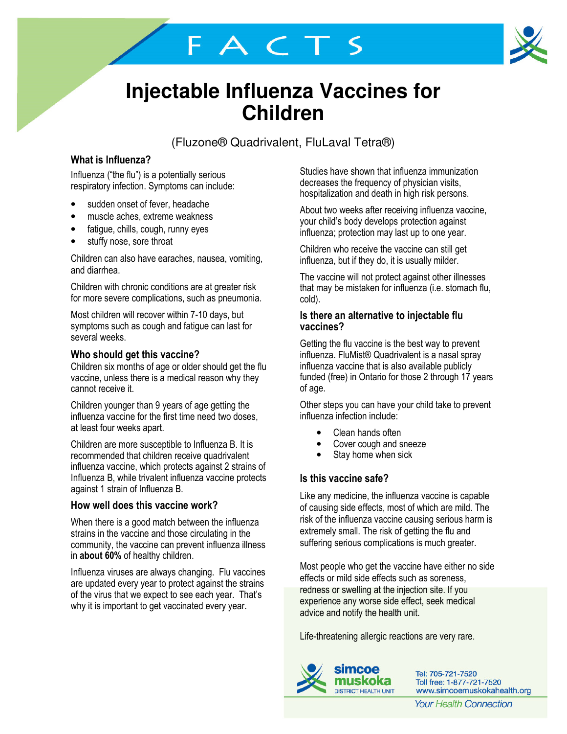# **Injectable Influenza Vaccines for Children**

FACTS

(Fluzone® Quadrivalent, FluLaval Tetra®)

## What is Influenza?

Influenza ("the flu") is a potentially serious respiratory infection. Symptoms can include:

- sudden onset of fever, headache
- muscle aches, extreme weakness
- fatigue, chills, cough, runny eyes
- stuffy nose, sore throat

Children can also have earaches, nausea, vomiting, and diarrhea.

Children with chronic conditions are at greater risk for more severe complications, such as pneumonia.

Most children will recover within 7-10 days, but symptoms such as cough and fatigue can last for several weeks.

#### Who should get this vaccine?

Children six months of age or older should get the flu vaccine, unless there is a medical reason why they cannot receive it.

Children younger than 9 years of age getting the influenza vaccine for the first time need two doses, at least four weeks apart.

Children are more susceptible to Influenza B. It is recommended that children receive quadrivalent influenza vaccine, which protects against 2 strains of Influenza B, while trivalent influenza vaccine protects against 1 strain of Influenza B.

#### How well does this vaccine work?

When there is a good match between the influenza strains in the vaccine and those circulating in the community, the vaccine can prevent influenza illness in about 60% of healthy children.

Influenza viruses are always changing. Flu vaccines are updated every year to protect against the strains of the virus that we expect to see each year. That's why it is important to get vaccinated every year.

Studies have shown that influenza immunization decreases the frequency of physician visits, hospitalization and death in high risk persons.

About two weeks after receiving influenza vaccine, your child's body develops protection against influenza; protection may last up to one year.

Children who receive the vaccine can still get influenza, but if they do, it is usually milder.

The vaccine will not protect against other illnesses that may be mistaken for influenza (i.e. stomach flu, cold).

#### Is there an alternative to injectable flu vaccines?

Getting the flu vaccine is the best way to prevent influenza. FluMist® Quadrivalent is a nasal spray influenza vaccine that is also available publicly funded (free) in Ontario for those 2 through 17 years of age.

Other steps you can have your child take to prevent influenza infection include:

- Clean hands often
- Cover cough and sneeze
- Stay home when sick

### Is this vaccine safe?

Like any medicine, the influenza vaccine is capable of causing side effects, most of which are mild. The risk of the influenza vaccine causing serious harm is extremely small. The risk of getting the flu and suffering serious complications is much greater.

Most people who get the vaccine have either no side effects or mild side effects such as soreness, redness or swelling at the injection site. If you experience any worse side effect, seek medical advice and notify the health unit.

Life-threatening allergic reactions are very rare.



Tel: 705-721-7520 Toll free: 1-877-721-7520 www.simcoemuskokahealth.org

**Your Health Connection**